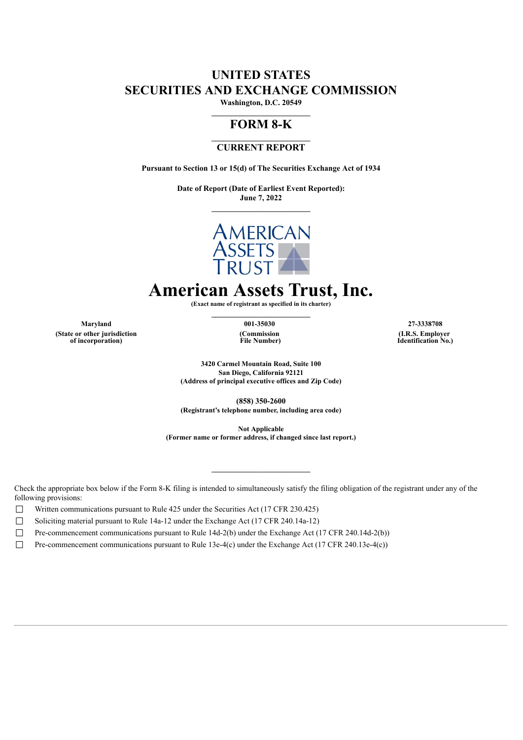# **UNITED STATES SECURITIES AND EXCHANGE COMMISSION**

**Washington, D.C. 20549 \_\_\_\_\_\_\_\_\_\_\_\_\_\_\_\_\_\_\_\_\_\_\_\_\_**

# **FORM 8-K**

## **CURRENT REPORT**

**Pursuant to Section 13 or 15(d) of The Securities Exchange Act of 1934**

**Date of Report (Date of Earliest Event Reported): June 7, 2022**



# **American Assets Trust, Inc.**

**(Exact name of registrant as specified in its charter)**

**Maryland 001-35030 27-3338708 (State or other jurisdiction of incorporation)**

**(Commission File Number)**

**\_\_\_\_\_\_\_\_\_\_\_\_\_\_\_\_\_\_\_\_\_\_\_\_\_**

**(I.R.S. Employer Identification No.)**

**3420 Carmel Mountain Road, Suite 100 San Diego, California 92121 (Address of principal executive offices and Zip Code)**

**(858) 350-2600 (Registrant's telephone number, including area code)**

**Not Applicable**

**\_\_\_\_\_\_\_\_\_\_\_\_\_\_\_\_\_\_\_\_\_\_\_\_\_**

**(Former name or former address, if changed since last report.)**

Check the appropriate box below if the Form 8-K filing is intended to simultaneously satisfy the filing obligation of the registrant under any of the following provisions:

□ Written communications pursuant to Rule  $425$  under the Securities Act (17 CFR 230.425)

□ Soliciting material pursuant to Rule 14a-12 under the Exchange Act (17 CFR 240.14a-12)

 $\Box$  Pre-commencement communications pursuant to Rule 14d-2(b) under the Exchange Act (17 CFR 240.14d-2(b))

 $\Box$  Pre-commencement communications pursuant to Rule 13e-4(c) under the Exchange Act (17 CFR 240.13e-4(c))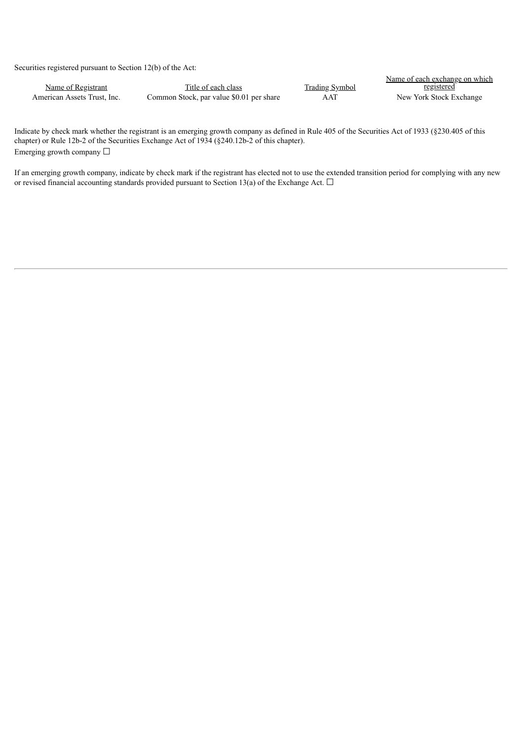Securities registered pursuant to Section 12(b) of the Act:

|                             |                                          |                       | Name of each exchange on which |
|-----------------------------|------------------------------------------|-----------------------|--------------------------------|
| Name of Registrant          | Title of each class                      | <b>Trading Symbol</b> | <u>registered</u>              |
| American Assets Trust, Inc. | Common Stock, par value \$0.01 per share | AAT                   | New York Stock Exchange        |

Indicate by check mark whether the registrant is an emerging growth company as defined in Rule 405 of the Securities Act of 1933 (§230.405 of this chapter) or Rule 12b-2 of the Securities Exchange Act of 1934 (§240.12b-2 of this chapter). Emerging growth company  $\Box$ 

If an emerging growth company, indicate by check mark if the registrant has elected not to use the extended transition period for complying with any new or revised financial accounting standards provided pursuant to Section 13(a) of the Exchange Act.  $\Box$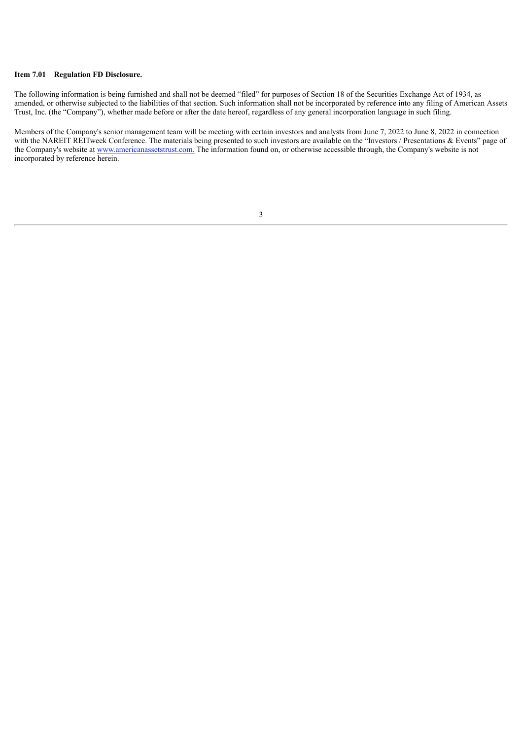#### **Item 7.01 Regulation FD Disclosure.**

The following information is being furnished and shall not be deemed "filed" for purposes of Section 18 of the Securities Exchange Act of 1934, as amended, or otherwise subjected to the liabilities of that section. Such information shall not be incorporated by reference into any filing of American Assets Trust, Inc. (the "Company"), whether made before or after the date hereof, regardless of any general incorporation language in such filing.

Members of the Company's senior management team will be meeting with certain investors and analysts from June 7, 2022 to June 8, 2022 in connection with the NAREIT REITweek Conference. The materials being presented to such investors are available on the "Investors / Presentations & Events" page of the Company's website at www.americanassetstrust.com. The information found on, or otherwise accessible through, the Company's website is not incorporated by reference herein.

#### 3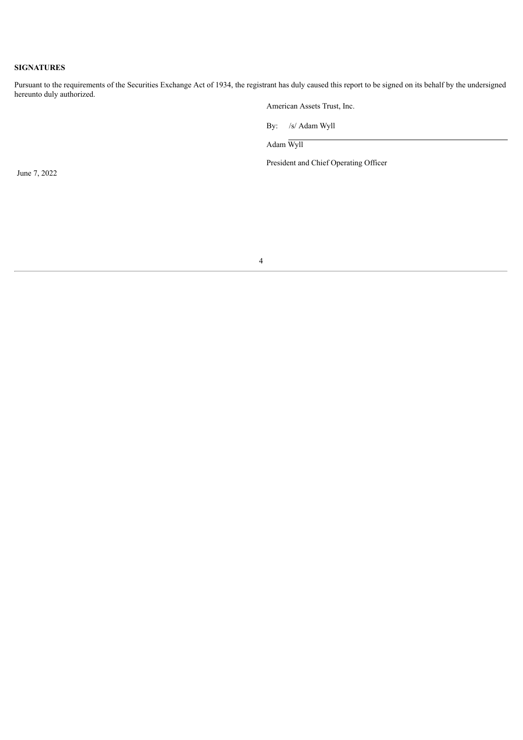### **SIGNATURES**

Pursuant to the requirements of the Securities Exchange Act of 1934, the registrant has duly caused this report to be signed on its behalf by the undersigned hereunto duly authorized.

American Assets Trust, Inc.

By: /s/ Adam Wyll

Adam Wyll

President and Chief Operating Officer

June 7, 2022